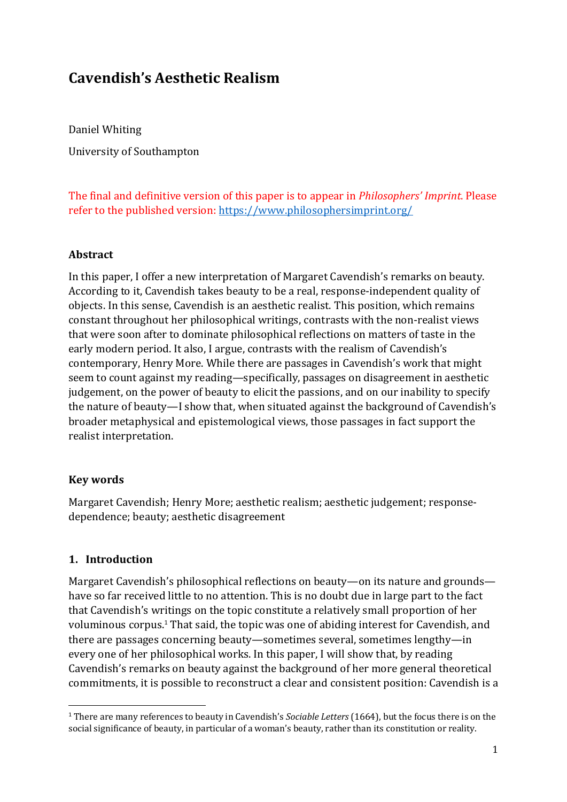# **Cavendish's Aesthetic Realism**

Daniel Whiting University of Southampton

The final and definitive version of this paper is to appear in *Philosophers' Imprint*. Please refer to the published version: <https://www.philosophersimprint.org/>

#### **Abstract**

In this paper, I offer a new interpretation of Margaret Cavendish's remarks on beauty. According to it, Cavendish takes beauty to be a real, response-independent quality of objects. In this sense, Cavendish is an aesthetic realist. This position, which remains constant throughout her philosophical writings, contrasts with the non-realist views that were soon after to dominate philosophical reflections on matters of taste in the early modern period. It also, I argue, contrasts with the realism of Cavendish's contemporary, Henry More. While there are passages in Cavendish's work that might seem to count against my reading—specifically, passages on disagreement in aesthetic judgement, on the power of beauty to elicit the passions, and on our inability to specify the nature of beauty—I show that, when situated against the background of Cavendish's broader metaphysical and epistemological views, those passages in fact support the realist interpretation.

#### **Key words**

Margaret Cavendish; Henry More; aesthetic realism; aesthetic judgement; responsedependence; beauty; aesthetic disagreement

#### **1. Introduction**

Margaret Cavendish's philosophical reflections on beauty—on its nature and grounds have so far received little to no attention. This is no doubt due in large part to the fact that Cavendish's writings on the topic constitute a relatively small proportion of her voluminous corpus.<sup>1</sup> That said, the topic was one of abiding interest for Cavendish, and there are passages concerning beauty—sometimes several, sometimes lengthy—in every one of her philosophical works. In this paper, I will show that, by reading Cavendish's remarks on beauty against the background of her more general theoretical commitments, it is possible to reconstruct a clear and consistent position: Cavendish is a

<sup>1</sup> There are many references to beauty in Cavendish's *Sociable Letters* (1664), but the focus there is on the social significance of beauty, in particular of a woman's beauty, rather than its constitution or reality.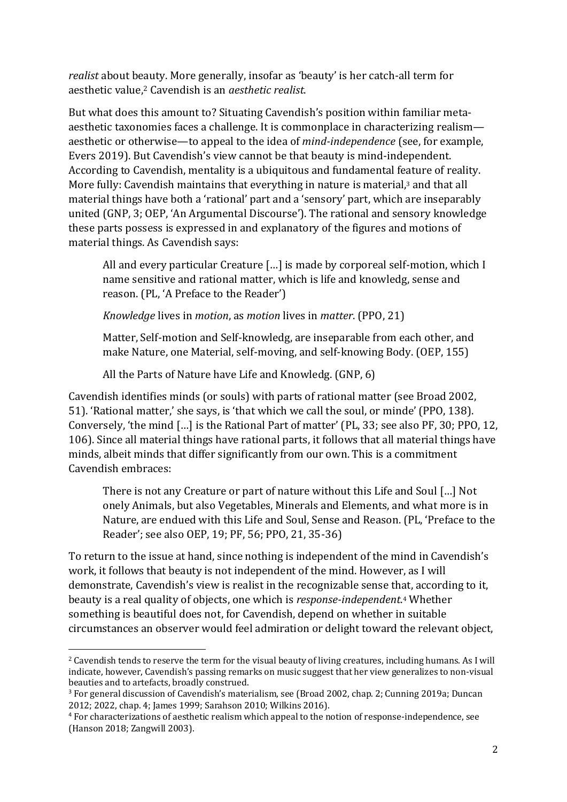*realist* about beauty. More generally, insofar as 'beauty' is her catch-all term for aesthetic value, <sup>2</sup> Cavendish is an *aesthetic realist*.

But what does this amount to? Situating Cavendish's position within familiar metaaesthetic taxonomies faces a challenge. It is commonplace in characterizing realism aesthetic or otherwise—to appeal to the idea of *mind-independence* (see, for example, Evers 2019). But Cavendish's view cannot be that beauty is mind-independent. According to Cavendish, mentality is a ubiquitous and fundamental feature of reality. More fully: Cavendish maintains that everything in nature is material,<sup>3</sup> and that all material things have both a 'rational' part and a 'sensory' part, which are inseparably united (GNP, 3; OEP, 'An Argumental Discourse'). The rational and sensory knowledge these parts possess is expressed in and explanatory of the figures and motions of material things. As Cavendish says:

All and every particular Creature […] is made by corporeal self-motion, which I name sensitive and rational matter, which is life and knowledg, sense and reason. (PL, 'A Preface to the Reader')

*Knowledge* lives in *motion*, as *motion* lives in *matter*. (PPO, 21)

Matter, Self-motion and Self-knowledg, are inseparable from each other, and make Nature, one Material, self-moving, and self-knowing Body. (OEP, 155)

All the Parts of Nature have Life and Knowledg. (GNP, 6)

Cavendish identifies minds (or souls) with parts of rational matter (see Broad 2002, 51). 'Rational matter,' she says, is 'that which we call the soul, or minde' (PPO, 138). Conversely, 'the mind […] is the Rational Part of matter' (PL, 33; see also PF, 30; PPO, 12, 106). Since all material things have rational parts, it follows that all material things have minds, albeit minds that differ significantly from our own. This is a commitment Cavendish embraces:

There is not any Creature or part of nature without this Life and Soul […] Not onely Animals, but also Vegetables, Minerals and Elements, and what more is in Nature, are endued with this Life and Soul, Sense and Reason. (PL, 'Preface to the Reader'; see also OEP, 19; PF, 56; PPO, 21, 35-36)

To return to the issue at hand, since nothing is independent of the mind in Cavendish's work, it follows that beauty is not independent of the mind. However, as I will demonstrate, Cavendish's view is realist in the recognizable sense that, according to it, beauty is a real quality of objects, one which is *response-independent*. <sup>4</sup> Whether something is beautiful does not, for Cavendish, depend on whether in suitable circumstances an observer would feel admiration or delight toward the relevant object,

<sup>2</sup> Cavendish tends to reserve the term for the visual beauty of living creatures, including humans. As I will indicate, however, Cavendish's passing remarks on music suggest that her view generalizes to non-visual beauties and to artefacts, broadly construed.

<sup>3</sup> For general discussion of Cavendish's materialism, see (Broad 2002, chap. 2; Cunning 2019a; Duncan 2012; 2022, chap. 4; James 1999; Sarahson 2010; Wilkins 2016).

<sup>4</sup> For characterizations of aesthetic realism which appeal to the notion of response-independence, see (Hanson 2018; Zangwill 2003).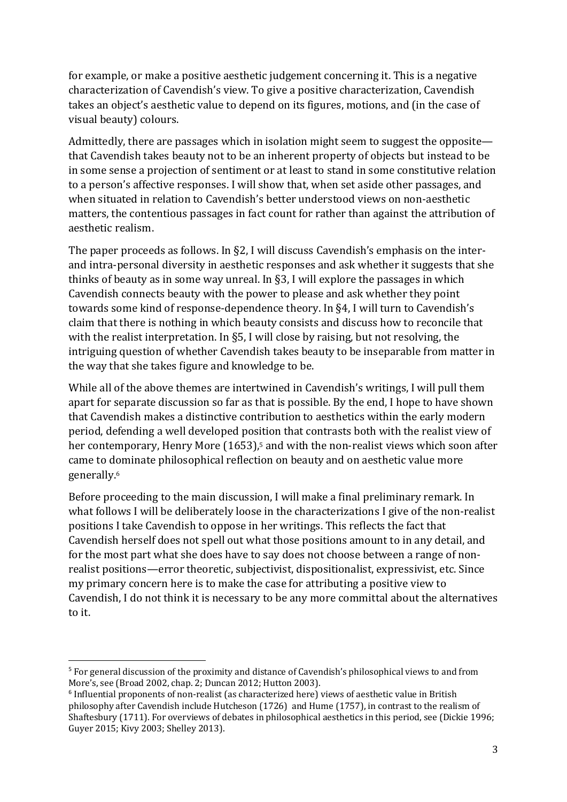for example, or make a positive aesthetic judgement concerning it. This is a negative characterization of Cavendish's view. To give a positive characterization, Cavendish takes an object's aesthetic value to depend on its figures, motions, and (in the case of visual beauty) colours.

Admittedly, there are passages which in isolation might seem to suggest the opposite that Cavendish takes beauty not to be an inherent property of objects but instead to be in some sense a projection of sentiment or at least to stand in some constitutive relation to a person's affective responses. I will show that, when set aside other passages, and when situated in relation to Cavendish's better understood views on non-aesthetic matters, the contentious passages in fact count for rather than against the attribution of aesthetic realism.

The paper proceeds as follows. In §2, I will discuss Cavendish's emphasis on the interand intra-personal diversity in aesthetic responses and ask whether it suggests that she thinks of beauty as in some way unreal. In §3, I will explore the passages in which Cavendish connects beauty with the power to please and ask whether they point towards some kind of response-dependence theory. In §4, I will turn to Cavendish's claim that there is nothing in which beauty consists and discuss how to reconcile that with the realist interpretation. In §5, I will close by raising, but not resolving, the intriguing question of whether Cavendish takes beauty to be inseparable from matter in the way that she takes figure and knowledge to be.

While all of the above themes are intertwined in Cavendish's writings, I will pull them apart for separate discussion so far as that is possible. By the end, I hope to have shown that Cavendish makes a distinctive contribution to aesthetics within the early modern period, defending a well developed position that contrasts both with the realist view of her contemporary, Henry More (1653), <sup>5</sup> and with the non-realist views which soon after came to dominate philosophical reflection on beauty and on aesthetic value more generally.<sup>6</sup>

Before proceeding to the main discussion, I will make a final preliminary remark. In what follows I will be deliberately loose in the characterizations I give of the non-realist positions I take Cavendish to oppose in her writings. This reflects the fact that Cavendish herself does not spell out what those positions amount to in any detail, and for the most part what she does have to say does not choose between a range of nonrealist positions—error theoretic, subjectivist, dispositionalist, expressivist, etc. Since my primary concern here is to make the case for attributing a positive view to Cavendish, I do not think it is necessary to be any more committal about the alternatives to it.

<sup>&</sup>lt;sup>5</sup> For general discussion of the proximity and distance of Cavendish's philosophical views to and from More's, see (Broad 2002, chap. 2; Duncan 2012; Hutton 2003).

<sup>6</sup> Influential proponents of non-realist (as characterized here) views of aesthetic value in British philosophy after Cavendish include Hutcheson (1726) and Hume (1757), in contrast to the realism of Shaftesbury (1711). For overviews of debates in philosophical aesthetics in this period, see (Dickie 1996; Guyer 2015; Kivy 2003; Shelley 2013).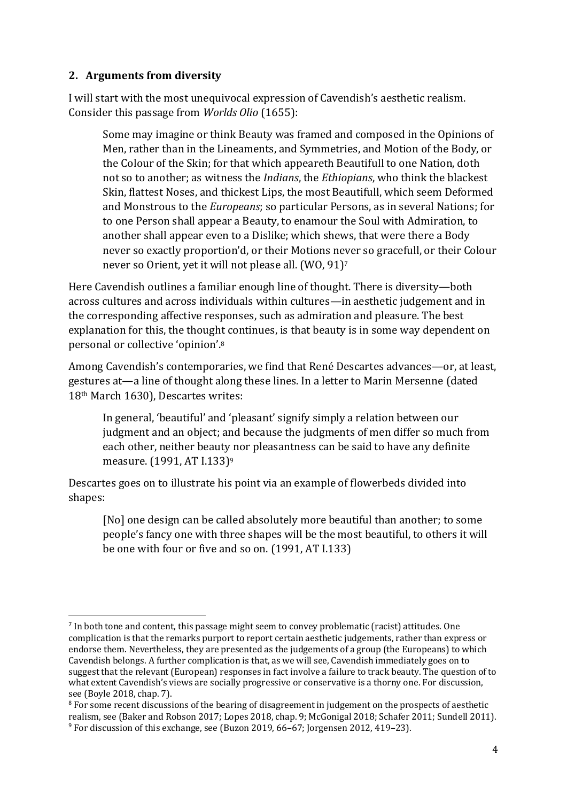### **2. Arguments from diversity**

I will start with the most unequivocal expression of Cavendish's aesthetic realism. Consider this passage from *Worlds Olio* (1655):

Some may imagine or think Beauty was framed and composed in the Opinions of Men, rather than in the Lineaments, and Symmetries, and Motion of the Body, or the Colour of the Skin; for that which appeareth Beautifull to one Nation, doth not so to another; as witness the *Indians*, the *Ethiopians*, who think the blackest Skin, flattest Noses, and thickest Lips, the most Beautifull, which seem Deformed and Monstrous to the *Europeans*; so particular Persons, as in several Nations; for to one Person shall appear a Beauty, to enamour the Soul with Admiration, to another shall appear even to a Dislike; which shews, that were there a Body never so exactly proportion'd, or their Motions never so gracefull, or their Colour never so Orient, yet it will not please all. (WO, 91)<sup>7</sup>

Here Cavendish outlines a familiar enough line of thought. There is diversity—both across cultures and across individuals within cultures—in aesthetic judgement and in the corresponding affective responses, such as admiration and pleasure. The best explanation for this, the thought continues, is that beauty is in some way dependent on personal or collective 'opinion'. 8

Among Cavendish's contemporaries, we find that René Descartes advances—or, at least, gestures at—a line of thought along these lines. In a letter to Marin Mersenne (dated 18th March 1630), Descartes writes:

In general, 'beautiful' and 'pleasant' signify simply a relation between our judgment and an object; and because the judgments of men differ so much from each other, neither beauty nor pleasantness can be said to have any definite measure. (1991, AT I.133)<sup>9</sup>

Descartes goes on to illustrate his point via an example of flowerbeds divided into shapes:

[No] one design can be called absolutely more beautiful than another; to some people's fancy one with three shapes will be the most beautiful, to others it will be one with four or five and so on. (1991, AT I.133)

<sup>&</sup>lt;sup>7</sup> In both tone and content, this passage might seem to convey problematic (racist) attitudes. One complication is that the remarks purport to report certain aesthetic judgements, rather than express or endorse them. Nevertheless, they are presented as the judgements of a group (the Europeans) to which Cavendish belongs. A further complication is that, as we will see, Cavendish immediately goes on to suggest that the relevant (European) responses in fact involve a failure to track beauty. The question of to what extent Cavendish's views are socially progressive or conservative is a thorny one. For discussion, see (Boyle 2018, chap. 7).

<sup>&</sup>lt;sup>8</sup> For some recent discussions of the bearing of disagreement in judgement on the prospects of aesthetic realism, see (Baker and Robson 2017; Lopes 2018, chap. 9; McGonigal 2018; Schafer 2011; Sundell 2011). <sup>9</sup> For discussion of this exchange, see (Buzon 2019, 66–67; Jorgensen 2012, 419–23).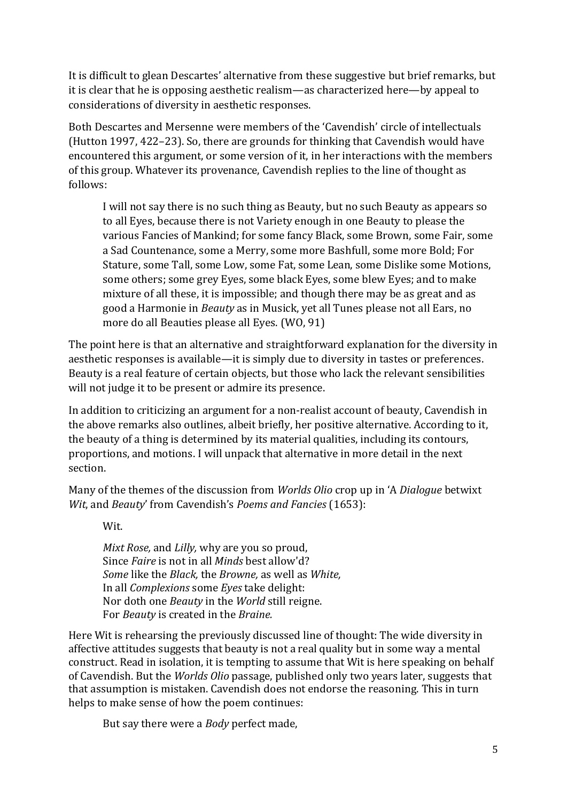It is difficult to glean Descartes' alternative from these suggestive but brief remarks, but it is clear that he is opposing aesthetic realism—as characterized here—by appeal to considerations of diversity in aesthetic responses.

Both Descartes and Mersenne were members of the 'Cavendish' circle of intellectuals (Hutton 1997, 422–23). So, there are grounds for thinking that Cavendish would have encountered this argument, or some version of it, in her interactions with the members of this group. Whatever its provenance, Cavendish replies to the line of thought as follows:

I will not say there is no such thing as Beauty, but no such Beauty as appears so to all Eyes, because there is not Variety enough in one Beauty to please the various Fancies of Mankind; for some fancy Black, some Brown, some Fair, some a Sad Countenance, some a Merry, some more Bashfull, some more Bold; For Stature, some Tall, some Low, some Fat, some Lean, some Dislike some Motions, some others; some grey Eyes, some black Eyes, some blew Eyes; and to make mixture of all these, it is impossible; and though there may be as great and as good a Harmonie in *Beauty* as in Musick, yet all Tunes please not all Ears, no more do all Beauties please all Eyes. (WO, 91)

The point here is that an alternative and straightforward explanation for the diversity in aesthetic responses is available—it is simply due to diversity in tastes or preferences. Beauty is a real feature of certain objects, but those who lack the relevant sensibilities will not judge it to be present or admire its presence.

In addition to criticizing an argument for a non-realist account of beauty, Cavendish in the above remarks also outlines, albeit briefly, her positive alternative. According to it, the beauty of a thing is determined by its material qualities, including its contours, proportions, and motions. I will unpack that alternative in more detail in the next section.

Many of the themes of the discussion from *Worlds Olio* crop up in 'A *Dialogue* betwixt *Wit*, and *Beauty*' from Cavendish's *Poems and Fancies* (1653):

Wit.

*Mixt Rose,* and *Lilly,* why are you so proud, Since *Faire* is not in all *Minds* best allow'd? *Some* like the *Black,* the *Browne,* as well as *White,* In all *Complexions* some *Eyes* take delight: Nor doth one *Beauty* in the *World* still reigne. For *Beauty* is created in the *Braine.*

Here Wit is rehearsing the previously discussed line of thought: The wide diversity in affective attitudes suggests that beauty is not a real quality but in some way a mental construct. Read in isolation, it is tempting to assume that Wit is here speaking on behalf of Cavendish. But the *Worlds Olio* passage, published only two years later, suggests that that assumption is mistaken. Cavendish does not endorse the reasoning. This in turn helps to make sense of how the poem continues:

But say there were a *Body* perfect made,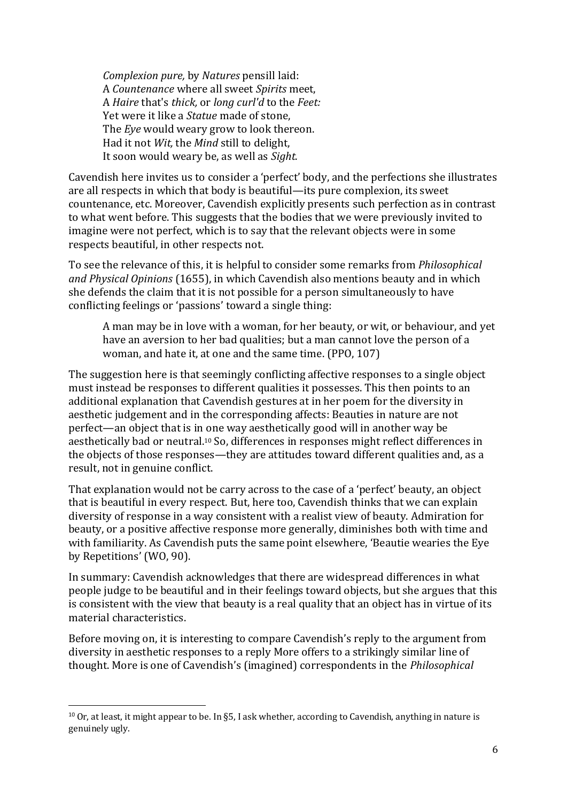*Complexion pure,* by *Natures* pensill laid: A *Countenance* where all sweet *Spirits* meet, A *Haire* that's *thick,* or *long curl'd* to the *Feet:* Yet were it like a *Statue* made of stone, The *Eye* would weary grow to look thereon. Had it not *Wit,* the *Mind* still to delight, It soon would weary be, as well as *Sight.*

Cavendish here invites us to consider a 'perfect' body, and the perfections she illustrates are all respects in which that body is beautiful—its pure complexion, its sweet countenance, etc. Moreover, Cavendish explicitly presents such perfection as in contrast to what went before. This suggests that the bodies that we were previously invited to imagine were not perfect, which is to say that the relevant objects were in some respects beautiful, in other respects not.

To see the relevance of this, it is helpful to consider some remarks from *Philosophical and Physical Opinions* (1655), in which Cavendish also mentions beauty and in which she defends the claim that it is not possible for a person simultaneously to have conflicting feelings or 'passions' toward a single thing:

A man may be in love with a woman, for her beauty, or wit, or behaviour, and yet have an aversion to her bad qualities; but a man cannot love the person of a woman, and hate it, at one and the same time. (PPO, 107)

The suggestion here is that seemingly conflicting affective responses to a single object must instead be responses to different qualities it possesses. This then points to an additional explanation that Cavendish gestures at in her poem for the diversity in aesthetic judgement and in the corresponding affects: Beauties in nature are not perfect—an object that is in one way aesthetically good will in another way be aesthetically bad or neutral.<sup>10</sup> So, differences in responses might reflect differences in the objects of those responses—they are attitudes toward different qualities and, as a result, not in genuine conflict.

That explanation would not be carry across to the case of a 'perfect' beauty, an object that is beautiful in every respect. But, here too, Cavendish thinks that we can explain diversity of response in a way consistent with a realist view of beauty. Admiration for beauty, or a positive affective response more generally, diminishes both with time and with familiarity. As Cavendish puts the same point elsewhere, 'Beautie wearies the Eye by Repetitions' (WO, 90).

In summary: Cavendish acknowledges that there are widespread differences in what people judge to be beautiful and in their feelings toward objects, but she argues that this is consistent with the view that beauty is a real quality that an object has in virtue of its material characteristics.

Before moving on, it is interesting to compare Cavendish's reply to the argument from diversity in aesthetic responses to a reply More offers to a strikingly similar line of thought. More is one of Cavendish's (imagined) correspondents in the *Philosophical* 

 $10$  Or, at least, it might appear to be. In §5, I ask whether, according to Cavendish, anything in nature is genuinely ugly.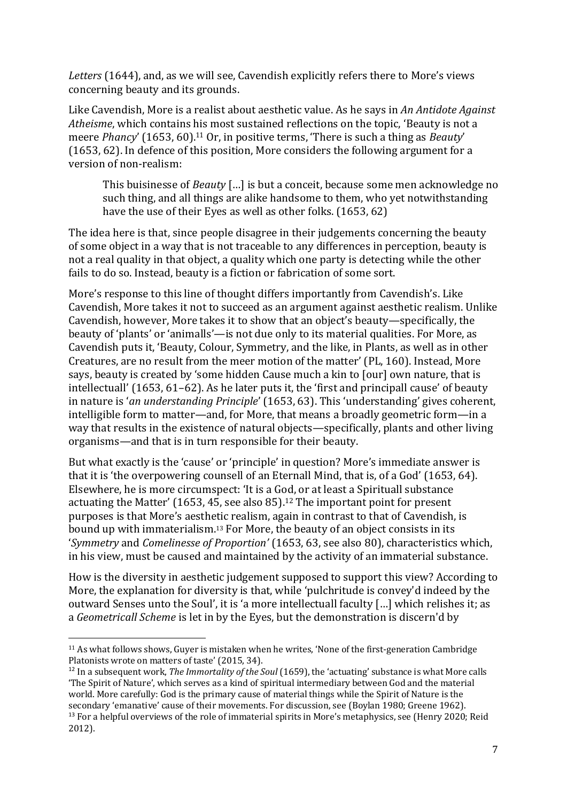*Letters* (1644), and, as we will see, Cavendish explicitly refers there to More's views concerning beauty and its grounds.

Like Cavendish, More is a realist about aesthetic value. As he says in *An Antidote Against Atheisme*, which contains his most sustained reflections on the topic, 'Beauty is not a meere *Phancy*' (1653, 60). <sup>11</sup> Or, in positive terms, 'There is such a thing as *Beauty*' (1653, 62). In defence of this position, More considers the following argument for a version of non-realism:

This buisinesse of *Beauty* […] is but a conceit, because some men acknowledge no such thing, and all things are alike handsome to them, who yet notwithstanding have the use of their Eyes as well as other folks. (1653, 62)

The idea here is that, since people disagree in their judgements concerning the beauty of some object in a way that is not traceable to any differences in perception, beauty is not a real quality in that object, a quality which one party is detecting while the other fails to do so. Instead, beauty is a fiction or fabrication of some sort.

More's response to this line of thought differs importantly from Cavendish's. Like Cavendish, More takes it not to succeed as an argument against aesthetic realism. Unlike Cavendish, however, More takes it to show that an object's beauty—specifically, the beauty of 'plants' or 'animalls'—is not due only to its material qualities. For More, as Cavendish puts it, 'Beauty, Colour, Symmetry, and the like, in Plants, as well as in other Creatures, are no result from the meer motion of the matter' (PL, 160). Instead, More says, beauty is created by 'some hidden Cause much a kin to [our] own nature, that is intellectuall' (1653, 61–62). As he later puts it, the 'first and principall cause' of beauty in nature is '*an understanding Principle*' (1653, 63). This 'understanding' gives coherent, intelligible form to matter—and, for More, that means a broadly geometric form—in a way that results in the existence of natural objects—specifically, plants and other living organisms—and that is in turn responsible for their beauty.

But what exactly is the 'cause' or 'principle' in question? More's immediate answer is that it is 'the overpowering counsell of an Eternall Mind, that is, of a God' (1653, 64). Elsewhere, he is more circumspect: 'It is a God, or at least a Spirituall substance actuating the Matter' (1653, 45, see also 85). <sup>12</sup> The important point for present purposes is that More's aesthetic realism, again in contrast to that of Cavendish, is bound up with immaterialism. <sup>13</sup> For More, the beauty of an object consists in its '*Symmetry* and *Comelinesse of Proportion'* (1653, 63, see also 80), characteristics which, in his view, must be caused and maintained by the activity of an immaterial substance.

How is the diversity in aesthetic judgement supposed to support this view? According to More, the explanation for diversity is that, while 'pulchritude is convey'd indeed by the outward Senses unto the Soul', it is 'a more intellectuall faculty […] which relishes it; as a *Geometricall Scheme* is let in by the Eyes, but the demonstration is discern'd by

<sup>11</sup> As what follows shows, Guyer is mistaken when he writes, 'None of the first-generation Cambridge Platonists wrote on matters of taste' (2015, 34).

<sup>12</sup> In a subsequent work, *The Immortality of the Soul* (1659), the 'actuating' substance is what More calls 'The Spirit of Nature', which serves as a kind of spiritual intermediary between God and the material world. More carefully: God is the primary cause of material things while the Spirit of Nature is the secondary 'emanative' cause of their movements. For discussion, see (Boylan 1980; Greene 1962). <sup>13</sup> For a helpful overviews of the role of immaterial spirits in More's metaphysics, see (Henry 2020; Reid 2012).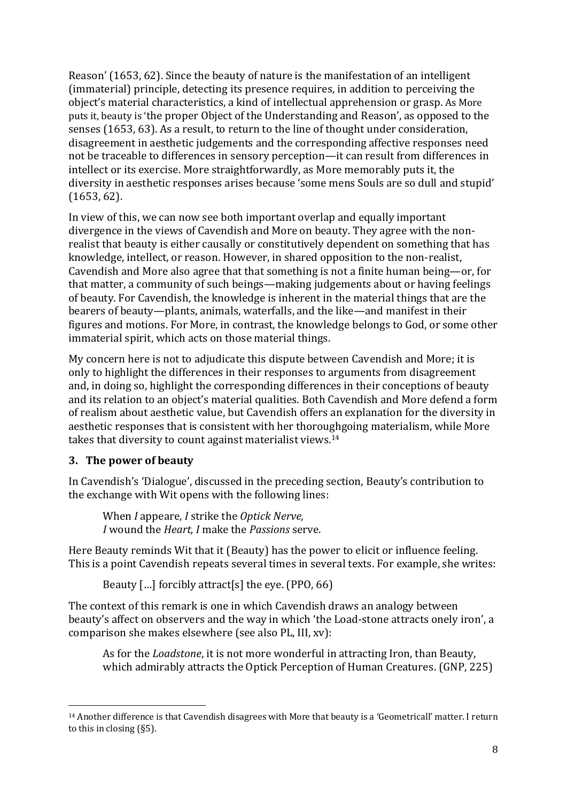Reason' (1653, 62). Since the beauty of nature is the manifestation of an intelligent (immaterial) principle, detecting its presence requires, in addition to perceiving the object's material characteristics, a kind of intellectual apprehension or grasp. As More puts it, beauty is 'the proper Object of the Understanding and Reason', as opposed to the senses (1653, 63). As a result, to return to the line of thought under consideration, disagreement in aesthetic judgements and the corresponding affective responses need not be traceable to differences in sensory perception—it can result from differences in intellect or its exercise. More straightforwardly, as More memorably puts it, the diversity in aesthetic responses arises because 'some mens Souls are so dull and stupid' (1653, 62).

In view of this, we can now see both important overlap and equally important divergence in the views of Cavendish and More on beauty. They agree with the nonrealist that beauty is either causally or constitutively dependent on something that has knowledge, intellect, or reason. However, in shared opposition to the non-realist, Cavendish and More also agree that that something is not a finite human being—or, for that matter, a community of such beings—making judgements about or having feelings of beauty. For Cavendish, the knowledge is inherent in the material things that are the bearers of beauty—plants, animals, waterfalls, and the like—and manifest in their figures and motions. For More, in contrast, the knowledge belongs to God, or some other immaterial spirit, which acts on those material things.

My concern here is not to adjudicate this dispute between Cavendish and More; it is only to highlight the differences in their responses to arguments from disagreement and, in doing so, highlight the corresponding differences in their conceptions of beauty and its relation to an object's material qualities. Both Cavendish and More defend a form of realism about aesthetic value, but Cavendish offers an explanation for the diversity in aesthetic responses that is consistent with her thoroughgoing materialism, while More takes that diversity to count against materialist views.<sup>14</sup>

## **3. The power of beauty**

In Cavendish's 'Dialogue', discussed in the preceding section, Beauty's contribution to the exchange with Wit opens with the following lines:

When *I* appeare, *I* strike the *Optick Nerve, I* wound the *Heart, I* make the *Passions* serve.

Here Beauty reminds Wit that it (Beauty) has the power to elicit or influence feeling. This is a point Cavendish repeats several times in several texts. For example, she writes:

Beauty […] forcibly attract[s] the eye. (PPO, 66)

The context of this remark is one in which Cavendish draws an analogy between beauty's affect on observers and the way in which 'the Load-stone attracts onely iron', a comparison she makes elsewhere (see also PL, III, xv):

As for the *Loadstone*, it is not more wonderful in attracting Iron, than Beauty, which admirably attracts the Optick Perception of Human Creatures. (GNP, 225)

<sup>14</sup> Another difference is that Cavendish disagrees with More that beauty is a 'Geometricall' matter. I return to this in closing (§5).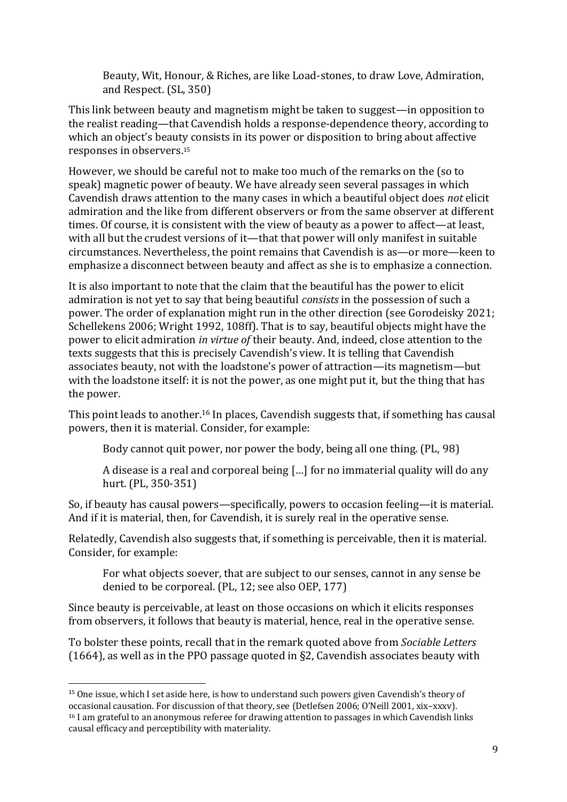Beauty, Wit, Honour, & Riches, are like Load-stones, to draw Love, Admiration, and Respect. (SL, 350)

This link between beauty and magnetism might be taken to suggest—in opposition to the realist reading—that Cavendish holds a response-dependence theory, according to which an object's beauty consists in its power or disposition to bring about affective responses in observers. 15

However, we should be careful not to make too much of the remarks on the (so to speak) magnetic power of beauty. We have already seen several passages in which Cavendish draws attention to the many cases in which a beautiful object does *not* elicit admiration and the like from different observers or from the same observer at different times. Of course, it is consistent with the view of beauty as a power to affect—at least, with all but the crudest versions of it—that that power will only manifest in suitable circumstances. Nevertheless, the point remains that Cavendish is as—or more—keen to emphasize a disconnect between beauty and affect as she is to emphasize a connection.

It is also important to note that the claim that the beautiful has the power to elicit admiration is not yet to say that being beautiful *consists* in the possession of such a power. The order of explanation might run in the other direction (see Gorodeisky 2021; Schellekens 2006; Wright 1992, 108ff). That is to say, beautiful objects might have the power to elicit admiration *in virtue of* their beauty. And, indeed, close attention to the texts suggests that this is precisely Cavendish's view. It is telling that Cavendish associates beauty, not with the loadstone's power of attraction—its magnetism—but with the loadstone itself: it is not the power, as one might put it, but the thing that has the power.

This point leads to another.<sup>16</sup> In places, Cavendish suggests that, if something has causal powers, then it is material. Consider, for example:

Body cannot quit power, nor power the body, being all one thing. (PL, 98)

A disease is a real and corporeal being […] for no immaterial quality will do any hurt. (PL, 350-351)

So, if beauty has causal powers—specifically, powers to occasion feeling—it is material. And if it is material, then, for Cavendish, it is surely real in the operative sense.

Relatedly, Cavendish also suggests that, if something is perceivable, then it is material. Consider, for example:

For what objects soever, that are subject to our senses, cannot in any sense be denied to be corporeal. (PL, 12; see also OEP, 177)

Since beauty is perceivable, at least on those occasions on which it elicits responses from observers, it follows that beauty is material, hence, real in the operative sense.

To bolster these points, recall that in the remark quoted above from *Sociable Letters* (1664), as well as in the PPO passage quoted in §2, Cavendish associates beauty with

<sup>&</sup>lt;sup>15</sup> One issue, which I set aside here, is how to understand such powers given Cavendish's theory of occasional causation. For discussion of that theory, see (Detlefsen 2006; O'Neill 2001, xix–xxxv). <sup>16</sup> I am grateful to an anonymous referee for drawing attention to passages in which Cavendish links causal efficacy and perceptibility with materiality.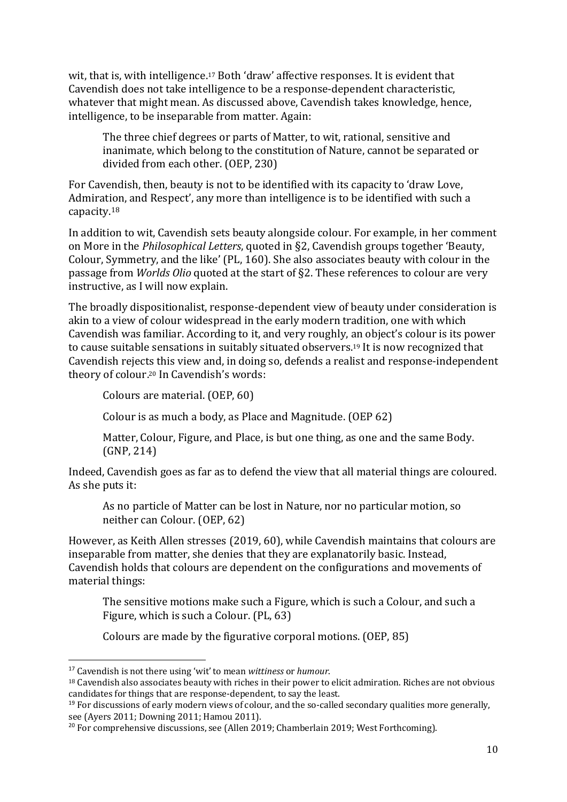wit, that is, with intelligence.<sup>17</sup> Both 'draw' affective responses. It is evident that Cavendish does not take intelligence to be a response-dependent characteristic, whatever that might mean. As discussed above, Cavendish takes knowledge, hence, intelligence, to be inseparable from matter. Again:

The three chief degrees or parts of Matter, to wit, rational, sensitive and inanimate, which belong to the constitution of Nature, cannot be separated or divided from each other. (OEP, 230)

For Cavendish, then, beauty is not to be identified with its capacity to 'draw Love, Admiration, and Respect', any more than intelligence is to be identified with such a capacity. 18

In addition to wit, Cavendish sets beauty alongside colour. For example, in her comment on More in the *Philosophical Letters*, quoted in §2, Cavendish groups together 'Beauty, Colour, Symmetry, and the like' (PL, 160). She also associates beauty with colour in the passage from *Worlds Olio* quoted at the start of §2. These references to colour are very instructive, as I will now explain.

The broadly dispositionalist, response-dependent view of beauty under consideration is akin to a view of colour widespread in the early modern tradition, one with which Cavendish was familiar. According to it, and very roughly, an object's colour is its power to cause suitable sensations in suitably situated observers. <sup>19</sup> It is now recognized that Cavendish rejects this view and, in doing so, defends a realist and response-independent theory of colour. <sup>20</sup> In Cavendish's words:

Colours are material. (OEP, 60)

Colour is as much a body, as Place and Magnitude. (OEP 62)

Matter, Colour, Figure, and Place, is but one thing, as one and the same Body. (GNP, 214)

Indeed, Cavendish goes as far as to defend the view that all material things are coloured. As she puts it:

As no particle of Matter can be lost in Nature, nor no particular motion, so neither can Colour. (OEP, 62)

However, as Keith Allen stresses (2019, 60), while Cavendish maintains that colours are inseparable from matter, she denies that they are explanatorily basic. Instead, Cavendish holds that colours are dependent on the configurations and movements of material things:

The sensitive motions make such a Figure, which is such a Colour, and such a Figure, which is such a Colour. (PL, 63)

Colours are made by the figurative corporal motions. (OEP, 85)

<sup>17</sup> Cavendish is not there using 'wit' to mean *wittiness* or *humour*.

<sup>&</sup>lt;sup>18</sup> Cavendish also associates beauty with riches in their power to elicit admiration. Riches are not obvious candidates for things that are response-dependent, to say the least.

 $19$  For discussions of early modern views of colour, and the so-called secondary qualities more generally, see (Ayers 2011; Downing 2011; Hamou 2011).

<sup>&</sup>lt;sup>20</sup> For comprehensive discussions, see (Allen 2019; Chamberlain 2019; West Forthcoming).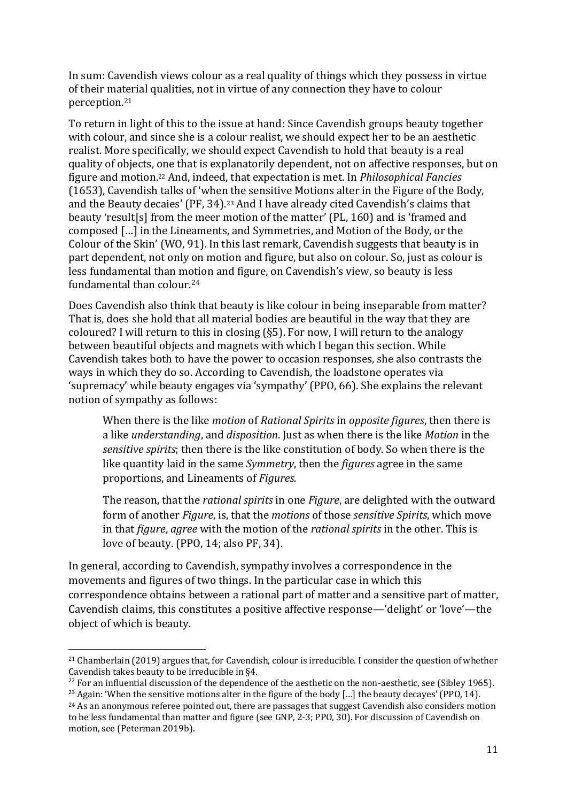In sum: Cavendish views colour as a real quality of things which they possess in virtue of their material qualities, not in virtue of any connection they have to colour perception.<sup>21</sup>

To return in light of this to the issue at hand: Since Cavendish groups beauty together with colour, and since she is a colour realist, we should expect her to be an aesthetic realist. More specifically, we should expect Cavendish to hold that beauty is a real quality of objects, one that is explanatorily dependent, not on affective responses, but on figure and motion.<sup>22</sup> And, indeed, that expectation is met. In *Philosophical Fancies* (1653), Cavendish talks of 'when the sensitive Motions alter in the Figure of the Body, and the Beauty decaies' (PF, 34).<sup>23</sup> And I have already cited Cavendish's claims that beauty 'result[s] from the meer motion of the matter' (PL, 160) and is 'framed and composed […] in the Lineaments, and Symmetries, and Motion of the Body, or the Colour of the Skin' (WO, 91). In this last remark, Cavendish suggests that beauty is in part dependent, not only on motion and figure, but also on colour. So, just as colour is less fundamental than motion and figure, on Cavendish's view, so beauty is less fundamental than colour.<sup>24</sup>

Does Cavendish also think that beauty is like colour in being inseparable from matter? That is, does she hold that all material bodies are beautiful in the way that they are coloured? I will return to this in closing (§5). For now, I will return to the analogy between beautiful objects and magnets with which I began this section. While Cavendish takes both to have the power to occasion responses, she also contrasts the ways in which they do so. According to Cavendish, the loadstone operates via 'supremacy' while beauty engages via 'sympathy' (PPO, 66). She explains the relevant notion of sympathy as follows:

When there is the like *motion* of *Rational Spirits* in *opposite figures*, then there is a like *understanding*, and *disposition*. Just as when there is the like *Motion* in the *sensitive spirits*; then there is the like constitution of body. So when there is the like quantity laid in the same *Symmetry*, then the *figures* agree in the same proportions, and Lineaments of *Figures*.

The reason, that the *rational spirits* in one *Figure*, are delighted with the outward form of another *Figure*, is, that the *motions* of those *sensitive Spirits*, which move in that *figure*, *agree* with the motion of the *rational spirits* in the other. This is love of beauty. (PPO, 14; also PF, 34).

In general, according to Cavendish, sympathy involves a correspondence in the movements and figures of two things. In the particular case in which this correspondence obtains between a rational part of matter and a sensitive part of matter, Cavendish claims, this constitutes a positive affective response—'delight' or 'love'—the object of which is beauty.

<sup>21</sup> Chamberlain (2019) argues that, for Cavendish, colour is irreducible. I consider the question of whether Cavendish takes beauty to be irreducible in §4.

 $22$  For an influential discussion of the dependence of the aesthetic on the non-aesthetic, see (Sibley 1965).

<sup>&</sup>lt;sup>23</sup> Again: 'When the sensitive motions alter in the figure of the body [...] the beauty decayes' (PPO, 14). <sup>24</sup> As an anonymous referee pointed out, there are passages that suggest Cavendish also considers motion

to be less fundamental than matter and figure (see GNP, 2-3; PPO, 30). For discussion of Cavendish on motion, see (Peterman 2019b).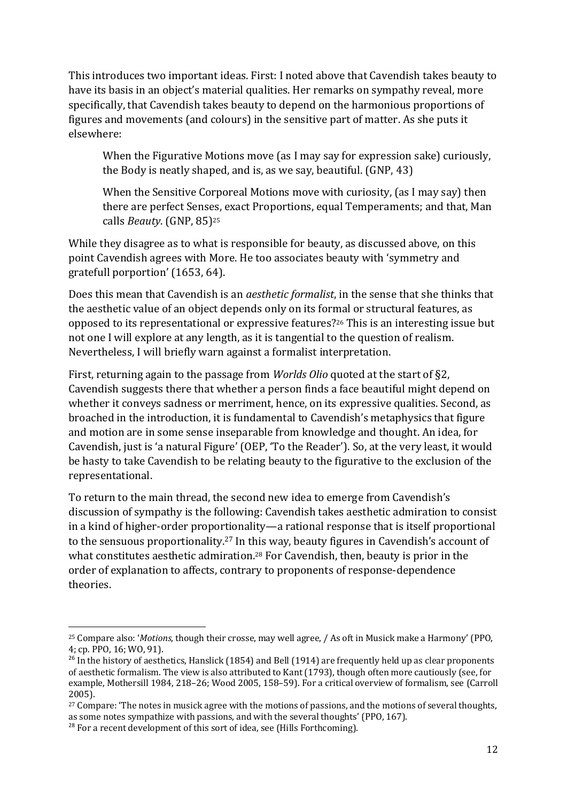This introduces two important ideas. First: I noted above that Cavendish takes beauty to have its basis in an object's material qualities. Her remarks on sympathy reveal, more specifically, that Cavendish takes beauty to depend on the harmonious proportions of figures and movements (and colours) in the sensitive part of matter. As she puts it elsewhere:

When the Figurative Motions move (as I may say for expression sake) curiously, the Body is neatly shaped, and is, as we say, beautiful. (GNP, 43)

When the Sensitive Corporeal Motions move with curiosity, (as I may say) then there are perfect Senses, exact Proportions, equal Temperaments; and that, Man calls *Beauty*. (GNP, 85)<sup>25</sup>

While they disagree as to what is responsible for beauty, as discussed above, on this point Cavendish agrees with More. He too associates beauty with 'symmetry and gratefull porportion' (1653, 64).

Does this mean that Cavendish is an *aesthetic formalist*, in the sense that she thinks that the aesthetic value of an object depends only on its formal or structural features, as opposed to its representational or expressive features?<sup>26</sup> This is an interesting issue but not one I will explore at any length, as it is tangential to the question of realism. Nevertheless, I will briefly warn against a formalist interpretation.

First, returning again to the passage from *Worlds Olio* quoted at the start of §2, Cavendish suggests there that whether a person finds a face beautiful might depend on whether it conveys sadness or merriment, hence, on its expressive qualities. Second, as broached in the introduction, it is fundamental to Cavendish's metaphysics that figure and motion are in some sense inseparable from knowledge and thought. An idea, for Cavendish, just is 'a natural Figure' (OEP, 'To the Reader'). So, at the very least, it would be hasty to take Cavendish to be relating beauty to the figurative to the exclusion of the representational.

To return to the main thread, the second new idea to emerge from Cavendish's discussion of sympathy is the following: Cavendish takes aesthetic admiration to consist in a kind of higher-order proportionality—a rational response that is itself proportional to the sensuous proportionality. <sup>27</sup> In this way, beauty figures in Cavendish's account of what constitutes aesthetic admiration.<sup>28</sup> For Cavendish, then, beauty is prior in the order of explanation to affects, contrary to proponents of response-dependence theories.

<sup>25</sup> Compare also: '*Motions*, though their crosse, may well agree, / As oft in Musick make a Harmony' (PPO, 4; cp. PPO, 16; WO, 91).

<sup>&</sup>lt;sup>26</sup> In the history of aesthetics, Hanslick (1854) and Bell (1914) are frequently held up as clear proponents of aesthetic formalism. The view is also attributed to Kant (1793), though often more cautiously (see, for example, Mothersill 1984, 218–26; Wood 2005, 158–59). For a critical overview of formalism, see (Carroll 2005).

<sup>&</sup>lt;sup>27</sup> Compare: 'The notes in musick agree with the motions of passions, and the motions of several thoughts, as some notes sympathize with passions, and with the several thoughts' (PPO, 167).

<sup>&</sup>lt;sup>28</sup> For a recent development of this sort of idea, see (Hills Forthcoming).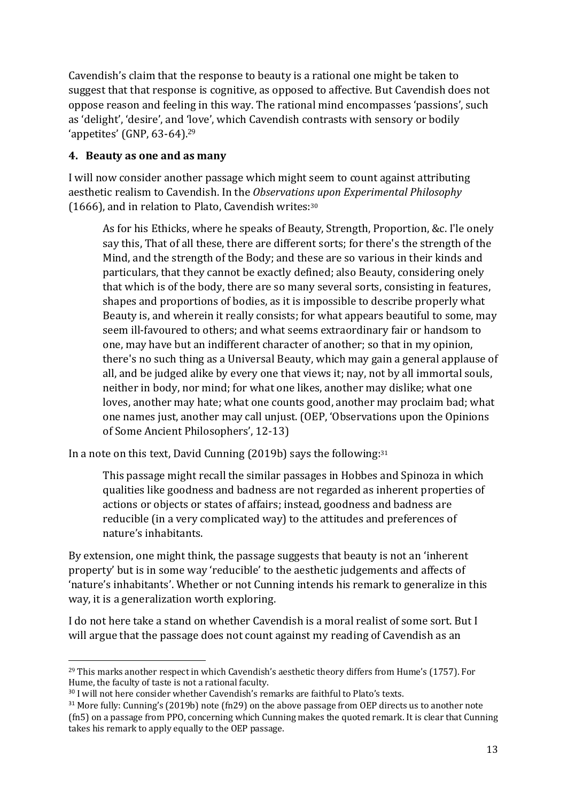Cavendish's claim that the response to beauty is a rational one might be taken to suggest that that response is cognitive, as opposed to affective. But Cavendish does not oppose reason and feeling in this way. The rational mind encompasses 'passions', such as 'delight', 'desire', and 'love', which Cavendish contrasts with sensory or bodily 'appetites' (GNP, 63-64). 29

### **4. Beauty as one and as many**

I will now consider another passage which might seem to count against attributing aesthetic realism to Cavendish. In the *Observations upon Experimental Philosophy*  (1666), and in relation to Plato, Cavendish writes:<sup>30</sup>

As for his Ethicks, where he speaks of Beauty, Strength, Proportion, &c. I'le onely say this, That of all these, there are different sorts; for there's the strength of the Mind, and the strength of the Body; and these are so various in their kinds and particulars, that they cannot be exactly defined; also Beauty, considering onely that which is of the body, there are so many several sorts, consisting in features, shapes and proportions of bodies, as it is impossible to describe properly what Beauty is, and wherein it really consists; for what appears beautiful to some, may seem ill-favoured to others; and what seems extraordinary fair or handsom to one, may have but an indifferent character of another; so that in my opinion, there's no such thing as a Universal Beauty, which may gain a general applause of all, and be judged alike by every one that views it; nay, not by all immortal souls, neither in body, nor mind; for what one likes, another may dislike; what one loves, another may hate; what one counts good, another may proclaim bad; what one names just, another may call unjust. (OEP, 'Observations upon the Opinions of Some Ancient Philosophers', 12-13)

In a note on this text, David Cunning (2019b) says the following:<sup>31</sup>

This passage might recall the similar passages in Hobbes and Spinoza in which qualities like goodness and badness are not regarded as inherent properties of actions or objects or states of affairs; instead, goodness and badness are reducible (in a very complicated way) to the attitudes and preferences of nature's inhabitants.

By extension, one might think, the passage suggests that beauty is not an 'inherent property' but is in some way 'reducible' to the aesthetic judgements and affects of 'nature's inhabitants'. Whether or not Cunning intends his remark to generalize in this way, it is a generalization worth exploring.

I do not here take a stand on whether Cavendish is a moral realist of some sort. But I will argue that the passage does not count against my reading of Cavendish as an

<sup>&</sup>lt;sup>29</sup> This marks another respect in which Cavendish's aesthetic theory differs from Hume's (1757). For Hume, the faculty of taste is not a rational faculty.

<sup>&</sup>lt;sup>30</sup> I will not here consider whether Cavendish's remarks are faithful to Plato's texts.

 $31$  More fully: Cunning's (2019b) note (fn29) on the above passage from OEP directs us to another note (fn5) on a passage from PPO, concerning which Cunning makes the quoted remark. It is clear that Cunning takes his remark to apply equally to the OEP passage.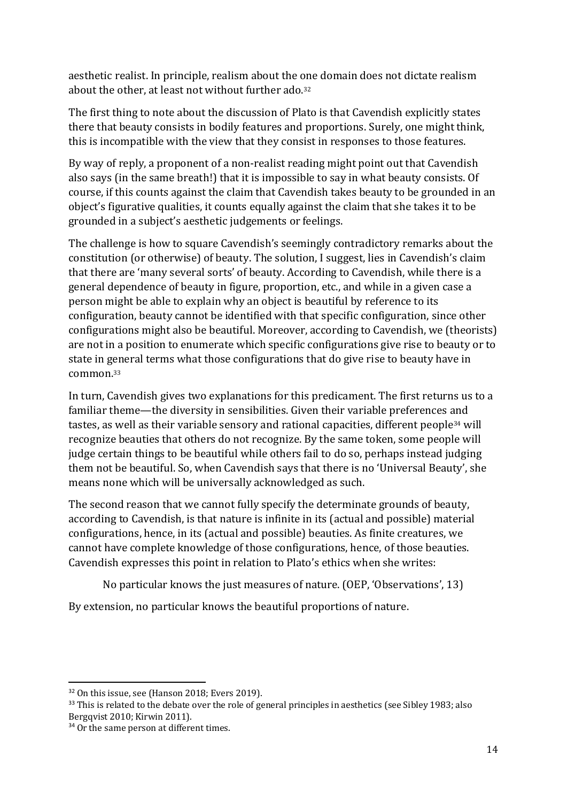aesthetic realist. In principle, realism about the one domain does not dictate realism about the other, at least not without further ado.<sup>32</sup>

The first thing to note about the discussion of Plato is that Cavendish explicitly states there that beauty consists in bodily features and proportions. Surely, one might think, this is incompatible with the view that they consist in responses to those features.

By way of reply, a proponent of a non-realist reading might point out that Cavendish also says (in the same breath!) that it is impossible to say in what beauty consists. Of course, if this counts against the claim that Cavendish takes beauty to be grounded in an object's figurative qualities, it counts equally against the claim that she takes it to be grounded in a subject's aesthetic judgements or feelings.

The challenge is how to square Cavendish's seemingly contradictory remarks about the constitution (or otherwise) of beauty. The solution, I suggest, lies in Cavendish's claim that there are 'many several sorts' of beauty. According to Cavendish, while there is a general dependence of beauty in figure, proportion, etc., and while in a given case a person might be able to explain why an object is beautiful by reference to its configuration, beauty cannot be identified with that specific configuration, since other configurations might also be beautiful. Moreover, according to Cavendish, we (theorists) are not in a position to enumerate which specific configurations give rise to beauty or to state in general terms what those configurations that do give rise to beauty have in common.<sup>33</sup>

In turn, Cavendish gives two explanations for this predicament. The first returns us to a familiar theme—the diversity in sensibilities. Given their variable preferences and tastes, as well as their variable sensory and rational capacities, different people<sup>34</sup> will recognize beauties that others do not recognize. By the same token, some people will judge certain things to be beautiful while others fail to do so, perhaps instead judging them not be beautiful. So, when Cavendish says that there is no 'Universal Beauty', she means none which will be universally acknowledged as such.

The second reason that we cannot fully specify the determinate grounds of beauty, according to Cavendish, is that nature is infinite in its (actual and possible) material configurations, hence, in its (actual and possible) beauties. As finite creatures, we cannot have complete knowledge of those configurations, hence, of those beauties. Cavendish expresses this point in relation to Plato's ethics when she writes:

No particular knows the just measures of nature. (OEP, 'Observations', 13)

By extension, no particular knows the beautiful proportions of nature.

<sup>&</sup>lt;sup>32</sup> On this issue, see (Hanson 2018; Evers 2019).

<sup>&</sup>lt;sup>33</sup> This is related to the debate over the role of general principles in aesthetics (see Sibley 1983; also Bergqvist 2010; Kirwin 2011).

<sup>&</sup>lt;sup>34</sup> Or the same person at different times.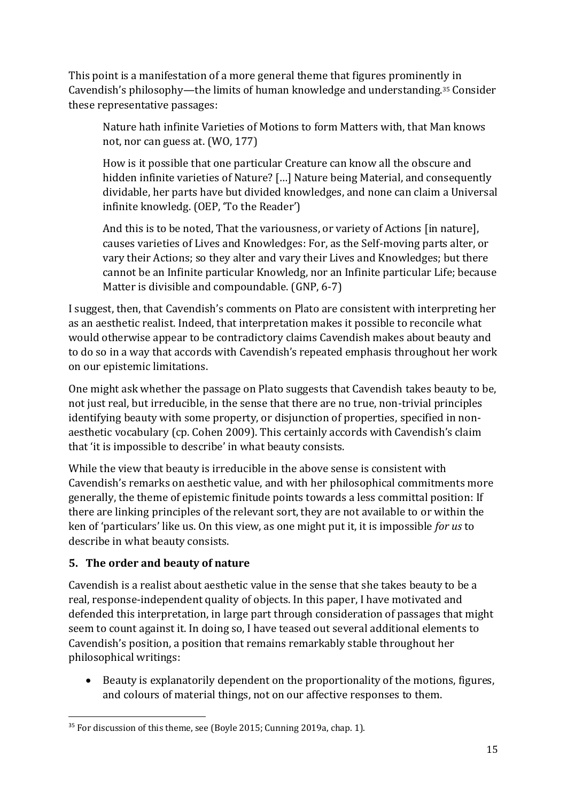This point is a manifestation of a more general theme that figures prominently in Cavendish's philosophy—the limits of human knowledge and understanding.<sup>35</sup> Consider these representative passages:

Nature hath infinite Varieties of Motions to form Matters with, that Man knows not, nor can guess at. (WO, 177)

How is it possible that one particular Creature can know all the obscure and hidden infinite varieties of Nature? […] Nature being Material, and consequently dividable, her parts have but divided knowledges, and none can claim a Universal infinite knowledg. (OEP, 'To the Reader')

And this is to be noted, That the variousness, or variety of Actions [in nature], causes varieties of Lives and Knowledges: For, as the Self-moving parts alter, or vary their Actions; so they alter and vary their Lives and Knowledges; but there cannot be an Infinite particular Knowledg, nor an Infinite particular Life; because Matter is divisible and compoundable. (GNP, 6-7)

I suggest, then, that Cavendish's comments on Plato are consistent with interpreting her as an aesthetic realist. Indeed, that interpretation makes it possible to reconcile what would otherwise appear to be contradictory claims Cavendish makes about beauty and to do so in a way that accords with Cavendish's repeated emphasis throughout her work on our epistemic limitations.

One might ask whether the passage on Plato suggests that Cavendish takes beauty to be, not just real, but irreducible, in the sense that there are no true, non-trivial principles identifying beauty with some property, or disjunction of properties, specified in nonaesthetic vocabulary (cp. Cohen 2009). This certainly accords with Cavendish's claim that 'it is impossible to describe' in what beauty consists.

While the view that beauty is irreducible in the above sense is consistent with Cavendish's remarks on aesthetic value, and with her philosophical commitments more generally, the theme of epistemic finitude points towards a less committal position: If there are linking principles of the relevant sort, they are not available to or within the ken of 'particulars' like us. On this view, as one might put it, it is impossible *for us* to describe in what beauty consists.

## **5. The order and beauty of nature**

Cavendish is a realist about aesthetic value in the sense that she takes beauty to be a real, response-independent quality of objects. In this paper, I have motivated and defended this interpretation, in large part through consideration of passages that might seem to count against it. In doing so, I have teased out several additional elements to Cavendish's position, a position that remains remarkably stable throughout her philosophical writings:

• Beauty is explanatorily dependent on the proportionality of the motions, figures, and colours of material things, not on our affective responses to them.

<sup>&</sup>lt;sup>35</sup> For discussion of this theme, see (Boyle 2015; Cunning 2019a, chap. 1).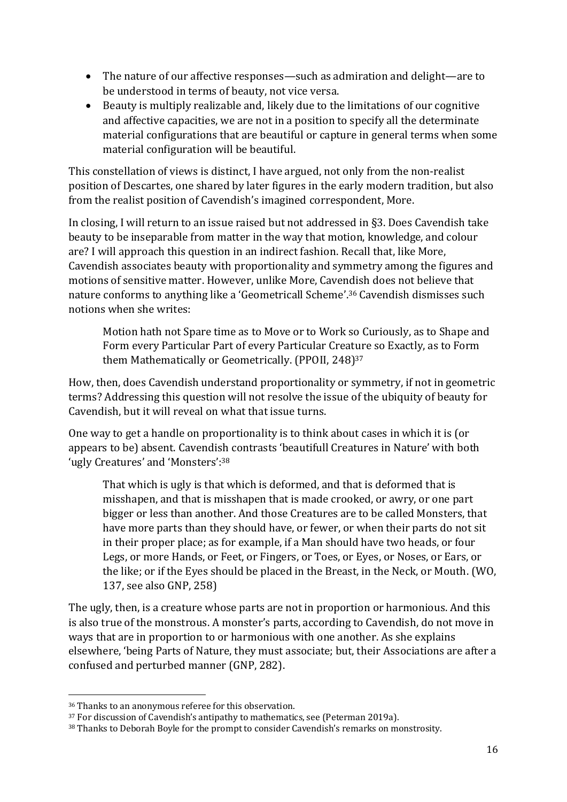- The nature of our affective responses—such as admiration and delight—are to be understood in terms of beauty, not vice versa.
- Beauty is multiply realizable and, likely due to the limitations of our cognitive and affective capacities, we are not in a position to specify all the determinate material configurations that are beautiful or capture in general terms when some material configuration will be beautiful.

This constellation of views is distinct, I have argued, not only from the non-realist position of Descartes, one shared by later figures in the early modern tradition, but also from the realist position of Cavendish's imagined correspondent, More.

In closing, I will return to an issue raised but not addressed in §3. Does Cavendish take beauty to be inseparable from matter in the way that motion, knowledge, and colour are? I will approach this question in an indirect fashion. Recall that, like More, Cavendish associates beauty with proportionality and symmetry among the figures and motions of sensitive matter. However, unlike More, Cavendish does not believe that nature conforms to anything like a 'Geometricall Scheme'. <sup>36</sup> Cavendish dismisses such notions when she writes:

Motion hath not Spare time as to Move or to Work so Curiously, as to Shape and Form every Particular Part of every Particular Creature so Exactly, as to Form them Mathematically or Geometrically. (PPOII, 248)<sup>37</sup>

How, then, does Cavendish understand proportionality or symmetry, if not in geometric terms? Addressing this question will not resolve the issue of the ubiquity of beauty for Cavendish, but it will reveal on what that issue turns.

One way to get a handle on proportionality is to think about cases in which it is (or appears to be) absent. Cavendish contrasts 'beautifull Creatures in Nature' with both 'ugly Creatures' and 'Monsters': 38

That which is ugly is that which is deformed, and that is deformed that is misshapen, and that is misshapen that is made crooked, or awry, or one part bigger or less than another. And those Creatures are to be called Monsters, that have more parts than they should have, or fewer, or when their parts do not sit in their proper place; as for example, if a Man should have two heads, or four Legs, or more Hands, or Feet, or Fingers, or Toes, or Eyes, or Noses, or Ears, or the like; or if the Eyes should be placed in the Breast, in the Neck, or Mouth. (WO, 137, see also GNP, 258)

The ugly, then, is a creature whose parts are not in proportion or harmonious. And this is also true of the monstrous. A monster's parts, according to Cavendish, do not move in ways that are in proportion to or harmonious with one another. As she explains elsewhere, 'being Parts of Nature, they must associate; but, their Associations are after a confused and perturbed manner (GNP, 282).

<sup>36</sup> Thanks to an anonymous referee for this observation.

<sup>&</sup>lt;sup>37</sup> For discussion of Cavendish's antipathy to mathematics, see (Peterman 2019a).

<sup>38</sup> Thanks to Deborah Boyle for the prompt to consider Cavendish's remarks on monstrosity.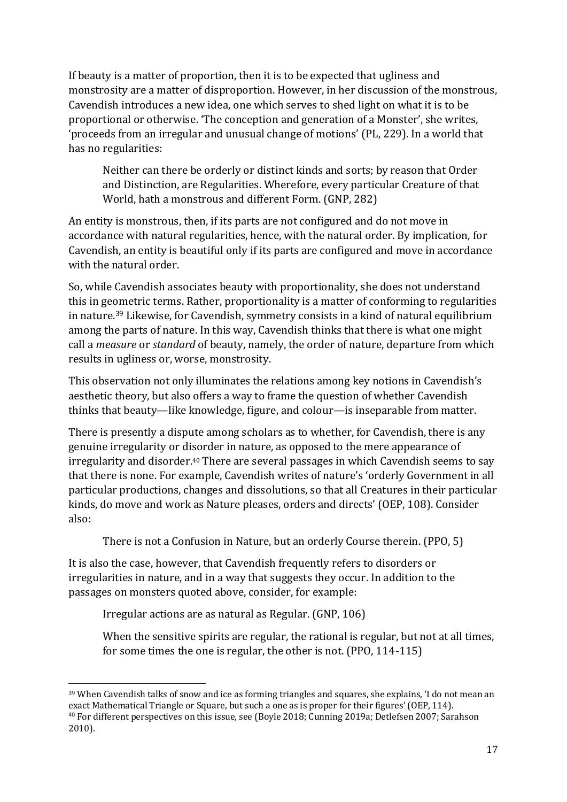If beauty is a matter of proportion, then it is to be expected that ugliness and monstrosity are a matter of disproportion. However, in her discussion of the monstrous, Cavendish introduces a new idea, one which serves to shed light on what it is to be proportional or otherwise. 'The conception and generation of a Monster', she writes, 'proceeds from an irregular and unusual change of motions' (PL, 229). In a world that has no regularities:

Neither can there be orderly or distinct kinds and sorts; by reason that Order and Distinction, are Regularities. Wherefore, every particular Creature of that World, hath a monstrous and different Form. (GNP, 282)

An entity is monstrous, then, if its parts are not configured and do not move in accordance with natural regularities, hence, with the natural order. By implication, for Cavendish, an entity is beautiful only if its parts are configured and move in accordance with the natural order.

So, while Cavendish associates beauty with proportionality, she does not understand this in geometric terms. Rather, proportionality is a matter of conforming to regularities in nature.<sup>39</sup> Likewise, for Cavendish, symmetry consists in a kind of natural equilibrium among the parts of nature. In this way, Cavendish thinks that there is what one might call a *measure* or *standard* of beauty, namely, the order of nature, departure from which results in ugliness or, worse, monstrosity.

This observation not only illuminates the relations among key notions in Cavendish's aesthetic theory, but also offers a way to frame the question of whether Cavendish thinks that beauty—like knowledge, figure, and colour—is inseparable from matter.

There is presently a dispute among scholars as to whether, for Cavendish, there is any genuine irregularity or disorder in nature, as opposed to the mere appearance of irregularity and disorder.<sup>40</sup> There are several passages in which Cavendish seems to say that there is none. For example, Cavendish writes of nature's 'orderly Government in all particular productions, changes and dissolutions, so that all Creatures in their particular kinds, do move and work as Nature pleases, orders and directs' (OEP, 108). Consider also:

There is not a Confusion in Nature, but an orderly Course therein. (PPO, 5)

It is also the case, however, that Cavendish frequently refers to disorders or irregularities in nature, and in a way that suggests they occur. In addition to the passages on monsters quoted above, consider, for example:

Irregular actions are as natural as Regular. (GNP, 106)

When the sensitive spirits are regular, the rational is regular, but not at all times, for some times the one is regular, the other is not. (PPO, 114-115)

<sup>39</sup> When Cavendish talks of snow and ice as forming triangles and squares, she explains, 'I do not mean an exact Mathematical Triangle or Square, but such a one as is proper for their figures' (OEP, 114). <sup>40</sup> For different perspectives on this issue, see (Boyle 2018; Cunning 2019a; Detlefsen 2007; Sarahson 2010).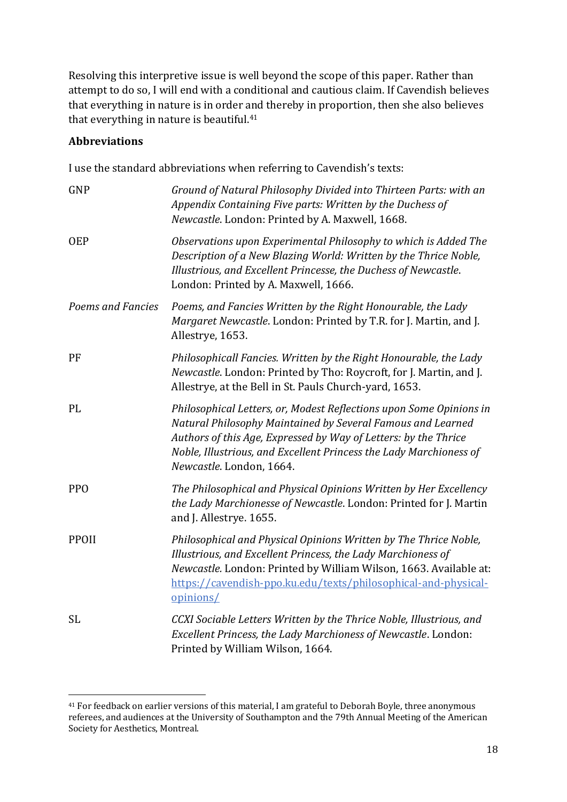Resolving this interpretive issue is well beyond the scope of this paper. Rather than attempt to do so, I will end with a conditional and cautious claim. If Cavendish believes that everything in nature is in order and thereby in proportion, then she also believes that everything in nature is beautiful.<sup>41</sup>

#### **Abbreviations**

I use the standard abbreviations when referring to Cavendish's texts:

| GNP               | Ground of Natural Philosophy Divided into Thirteen Parts: with an<br>Appendix Containing Five parts: Written by the Duchess of<br>Newcastle. London: Printed by A. Maxwell, 1668.                                                                                                                       |
|-------------------|---------------------------------------------------------------------------------------------------------------------------------------------------------------------------------------------------------------------------------------------------------------------------------------------------------|
| <b>OEP</b>        | Observations upon Experimental Philosophy to which is Added The<br>Description of a New Blazing World: Written by the Thrice Noble,<br>Illustrious, and Excellent Princesse, the Duchess of Newcastle.<br>London: Printed by A. Maxwell, 1666.                                                          |
| Poems and Fancies | Poems, and Fancies Written by the Right Honourable, the Lady<br>Margaret Newcastle. London: Printed by T.R. for J. Martin, and J.<br>Allestrye, 1653.                                                                                                                                                   |
| PF                | Philosophicall Fancies. Written by the Right Honourable, the Lady<br>Newcastle. London: Printed by Tho: Roycroft, for J. Martin, and J.<br>Allestrye, at the Bell in St. Pauls Church-yard, 1653.                                                                                                       |
| PL                | Philosophical Letters, or, Modest Reflections upon Some Opinions in<br>Natural Philosophy Maintained by Several Famous and Learned<br>Authors of this Age, Expressed by Way of Letters: by the Thrice<br>Noble, Illustrious, and Excellent Princess the Lady Marchioness of<br>Newcastle. London, 1664. |
| <b>PPO</b>        | The Philosophical and Physical Opinions Written by Her Excellency<br>the Lady Marchionesse of Newcastle. London: Printed for J. Martin<br>and J. Allestrye. 1655.                                                                                                                                       |
| <b>PPOII</b>      | Philosophical and Physical Opinions Written by The Thrice Noble,<br>Illustrious, and Excellent Princess, the Lady Marchioness of<br>Newcastle. London: Printed by William Wilson, 1663. Available at:<br>https://cavendish-ppo.ku.edu/texts/philosophical-and-physical-<br>opinions/                    |
| <b>SL</b>         | CCXI Sociable Letters Written by the Thrice Noble, Illustrious, and<br>Excellent Princess, the Lady Marchioness of Newcastle. London:<br>Printed by William Wilson, 1664.                                                                                                                               |

<sup>41</sup> For feedback on earlier versions of this material, I am grateful to Deborah Boyle, three anonymous referees, and audiences at the University of Southampton and the 79th Annual Meeting of the American Society for Aesthetics, Montreal.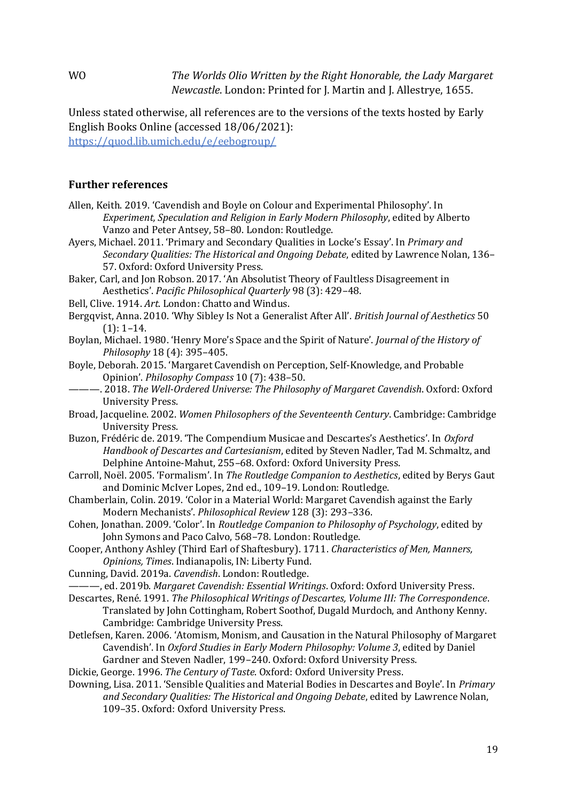WO *The Worlds Olio Written by the Right Honorable, the Lady Margaret Newcastle*. London: Printed for J. Martin and J. Allestrye, 1655.

Unless stated otherwise, all references are to the versions of the texts hosted by Early English Books Online (accessed 18/06/2021): <https://quod.lib.umich.edu/e/eebogroup/>

#### **Further references**

- Allen, Keith. 2019. 'Cavendish and Boyle on Colour and Experimental Philosophy'. In *Experiment, Speculation and Religion in Early Modern Philosophy*, edited by Alberto Vanzo and Peter Antsey, 58–80. London: Routledge.
- Ayers, Michael. 2011. 'Primary and Secondary Qualities in Locke's Essay'. In *Primary and Secondary Qualities: The Historical and Ongoing Debate*, edited by Lawrence Nolan, 136– 57. Oxford: Oxford University Press.
- Baker, Carl, and Jon Robson. 2017. 'An Absolutist Theory of Faultless Disagreement in Aesthetics'. *Pacific Philosophical Quarterly* 98 (3): 429–48.
- Bell, Clive. 1914. *Art*. London: Chatto and Windus.
- Bergqvist, Anna. 2010. 'Why Sibley Is Not a Generalist After All'. *British Journal of Aesthetics* 50  $(1): 1-14.$
- Boylan, Michael. 1980. 'Henry More's Space and the Spirit of Nature'. *Journal of the History of Philosophy* 18 (4): 395–405.
- Boyle, Deborah. 2015. 'Margaret Cavendish on Perception, Self‐Knowledge, and Probable Opinion'. *Philosophy Compass* 10 (7): 438–50.
	- ———. 2018. *The Well-Ordered Universe: The Philosophy of Margaret Cavendish*. Oxford: Oxford University Press.
- Broad, Jacqueline. 2002. *Women Philosophers of the Seventeenth Century*. Cambridge: Cambridge University Press.
- Buzon, Frédéric de. 2019. 'The Compendium Musicae and Descartes's Aesthetics'. In *Oxford Handbook of Descartes and Cartesianism*, edited by Steven Nadler, Tad M. Schmaltz, and Delphine Antoine-Mahut, 255–68. Oxford: Oxford University Press.
- Carroll, Noël. 2005. 'Formalism'. In *The Routledge Companion to Aesthetics*, edited by Berys Gaut and Dominic McIver Lopes, 2nd ed., 109–19. London: Routledge.
- Chamberlain, Colin. 2019. 'Color in a Material World: Margaret Cavendish against the Early Modern Mechanists'. *Philosophical Review* 128 (3): 293–336.
- Cohen, Jonathan. 2009. 'Color'. In *Routledge Companion to Philosophy of Psychology*, edited by John Symons and Paco Calvo, 568–78. London: Routledge.
- Cooper, Anthony Ashley (Third Earl of Shaftesbury). 1711. *Characteristics of Men, Manners, Opinions, Times*. Indianapolis, IN: Liberty Fund.
- Cunning, David. 2019a. *Cavendish*. London: Routledge.
- ———, ed. 2019b. *Margaret Cavendish: Essential Writings*. Oxford: Oxford University Press.
- Descartes, René. 1991. *The Philosophical Writings of Descartes, Volume III: The Correspondence*. Translated by John Cottingham, Robert Soothof, Dugald Murdoch, and Anthony Kenny. Cambridge: Cambridge University Press.
- Detlefsen, Karen. 2006. 'Atomism, Monism, and Causation in the Natural Philosophy of Margaret Cavendish'. In *Oxford Studies in Early Modern Philosophy: Volume 3*, edited by Daniel Gardner and Steven Nadler, 199–240. Oxford: Oxford University Press.
- Dickie, George. 1996. *The Century of Taste*. Oxford: Oxford University Press.
- Downing, Lisa. 2011. 'Sensible Qualities and Material Bodies in Descartes and Boyle'. In *Primary and Secondary Qualities: The Historical and Ongoing Debate*, edited by Lawrence Nolan, 109–35. Oxford: Oxford University Press.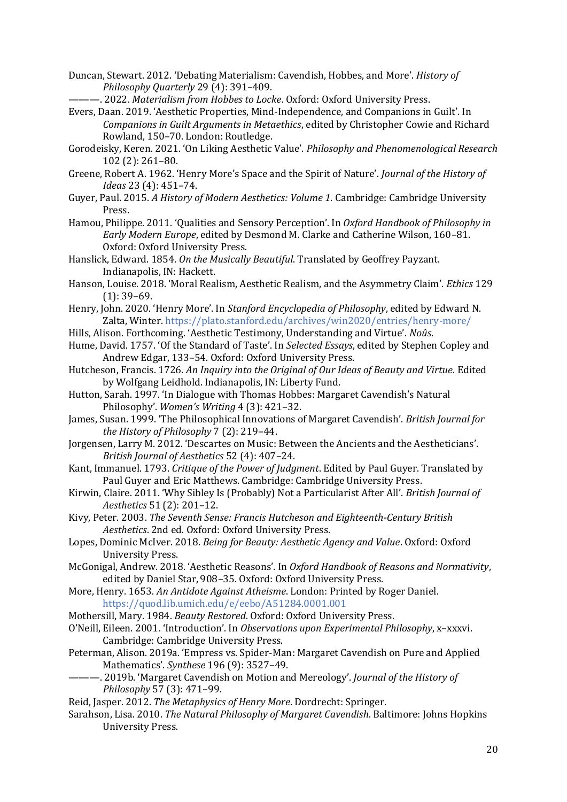Duncan, Stewart. 2012. 'Debating Materialism: Cavendish, Hobbes, and More'. *History of Philosophy Quarterly* 29 (4): 391–409.

———. 2022. *Materialism from Hobbes to Locke*. Oxford: Oxford University Press.

Evers, Daan. 2019. 'Aesthetic Properties, Mind-Independence, and Companions in Guilt'. In *Companions in Guilt Arguments in Metaethics*, edited by Christopher Cowie and Richard Rowland, 150–70. London: Routledge.

- Gorodeisky, Keren. 2021. 'On Liking Aesthetic Value'. *Philosophy and Phenomenological Research* 102 (2): 261–80.
- Greene, Robert A. 1962. 'Henry More's Space and the Spirit of Nature'. *Journal of the History of Ideas* 23 (4): 451–74.
- Guyer, Paul. 2015. *A History of Modern Aesthetics: Volume 1*. Cambridge: Cambridge University Press.
- Hamou, Philippe. 2011. 'Qualities and Sensory Perception'. In *Oxford Handbook of Philosophy in Early Modern Europe*, edited by Desmond M. Clarke and Catherine Wilson, 160–81. Oxford: Oxford University Press.
- Hanslick, Edward. 1854. *On the Musically Beautiful*. Translated by Geoffrey Payzant. Indianapolis, IN: Hackett.
- Hanson, Louise. 2018. 'Moral Realism, Aesthetic Realism, and the Asymmetry Claim'. *Ethics* 129 (1): 39–69.
- Henry, John. 2020. 'Henry More'. In *Stanford Encyclopedia of Philosophy*, edited by Edward N. Zalta, Winter. https://plato.stanford.edu/archives/win2020/entries/henry-more/
- Hills, Alison. Forthcoming. 'Aesthetic Testimony, Understanding and Virtue'. *Noûs*.
- Hume, David. 1757. 'Of the Standard of Taste'. In *Selected Essays*, edited by Stephen Copley and Andrew Edgar, 133–54. Oxford: Oxford University Press.
- Hutcheson, Francis. 1726. *An Inquiry into the Original of Our Ideas of Beauty and Virtue*. Edited by Wolfgang Leidhold. Indianapolis, IN: Liberty Fund.
- Hutton, Sarah. 1997. 'In Dialogue with Thomas Hobbes: Margaret Cavendish's Natural Philosophy'. *Women's Writing* 4 (3): 421–32.
- James, Susan. 1999. 'The Philosophical Innovations of Margaret Cavendish'. *British Journal for the History of Philosophy* 7 (2): 219–44.
- Jorgensen, Larry M. 2012. 'Descartes on Music: Between the Ancients and the Aestheticians'. *British Journal of Aesthetics* 52 (4): 407–24.
- Kant, Immanuel. 1793. *Critique of the Power of Judgment*. Edited by Paul Guyer. Translated by Paul Guyer and Eric Matthews. Cambridge: Cambridge University Press.
- Kirwin, Claire. 2011. 'Why Sibley Is (Probably) Not a Particularist After All'. *British Journal of Aesthetics* 51 (2): 201–12.
- Kivy, Peter. 2003. *The Seventh Sense: Francis Hutcheson and Eighteenth-Century British Aesthetics*. 2nd ed. Oxford: Oxford University Press.
- Lopes, Dominic McIver. 2018. *Being for Beauty: Aesthetic Agency and Value*. Oxford: Oxford University Press.
- McGonigal, Andrew. 2018. 'Aesthetic Reasons'. In *Oxford Handbook of Reasons and Normativity*, edited by Daniel Star, 908–35. Oxford: Oxford University Press.
- More, Henry. 1653. *An Antidote Against Atheisme*. London: Printed by Roger Daniel. https://quod.lib.umich.edu/e/eebo/A51284.0001.001
- Mothersill, Mary. 1984. *Beauty Restored*. Oxford: Oxford University Press.
- O'Neill, Eileen. 2001. 'Introduction'. In *Observations upon Experimental Philosophy*, x–xxxvi. Cambridge: Cambridge University Press.
- Peterman, Alison. 2019a. 'Empress vs. Spider-Man: Margaret Cavendish on Pure and Applied Mathematics'. *Synthese* 196 (9): 3527–49.
- ———. 2019b. 'Margaret Cavendish on Motion and Mereology'. *Journal of the History of Philosophy* 57 (3): 471–99.
- Reid, Jasper. 2012. *The Metaphysics of Henry More*. Dordrecht: Springer.
- Sarahson, Lisa. 2010. *The Natural Philosophy of Margaret Cavendish*. Baltimore: Johns Hopkins University Press.